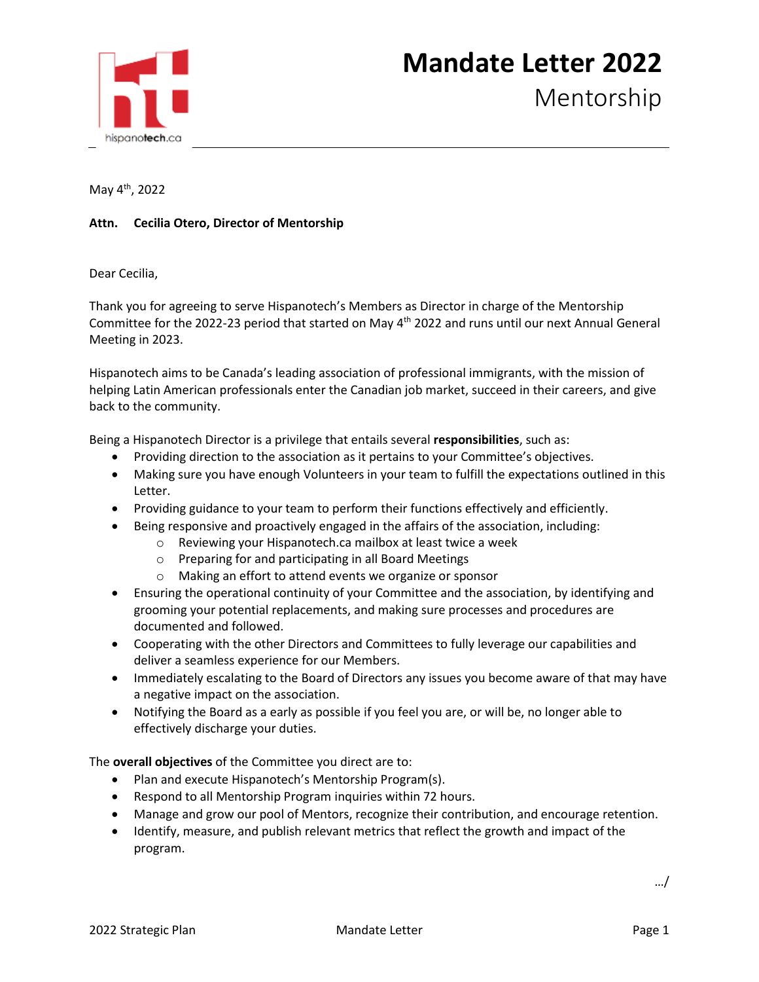

May 4th, 2022

## **Attn. Cecilia Otero, Director of Mentorship**

Dear Cecilia,

Thank you for agreeing to serve Hispanotech's Members as Director in charge of the Mentorship Committee for the 2022-23 period that started on May 4th 2022 and runs until our next Annual General Meeting in 2023.

Hispanotech aims to be Canada's leading association of professional immigrants, with the mission of helping Latin American professionals enter the Canadian job market, succeed in their careers, and give back to the community.

Being a Hispanotech Director is a privilege that entails several **responsibilities**, such as:

- Providing direction to the association as it pertains to your Committee's objectives.
- Making sure you have enough Volunteers in your team to fulfill the expectations outlined in this Letter.
- Providing guidance to your team to perform their functions effectively and efficiently.
- Being responsive and proactively engaged in the affairs of the association, including:
	- o Reviewing your Hispanotech.ca mailbox at least twice a week
	- o Preparing for and participating in all Board Meetings
	- o Making an effort to attend events we organize or sponsor
- Ensuring the operational continuity of your Committee and the association, by identifying and grooming your potential replacements, and making sure processes and procedures are documented and followed.
- Cooperating with the other Directors and Committees to fully leverage our capabilities and deliver a seamless experience for our Members.
- Immediately escalating to the Board of Directors any issues you become aware of that may have a negative impact on the association.
- Notifying the Board as a early as possible if you feel you are, or will be, no longer able to effectively discharge your duties.

The **overall objectives** of the Committee you direct are to:

- Plan and execute Hispanotech's Mentorship Program(s).
- Respond to all Mentorship Program inquiries within 72 hours.
- Manage and grow our pool of Mentors, recognize their contribution, and encourage retention.
- Identify, measure, and publish relevant metrics that reflect the growth and impact of the program.